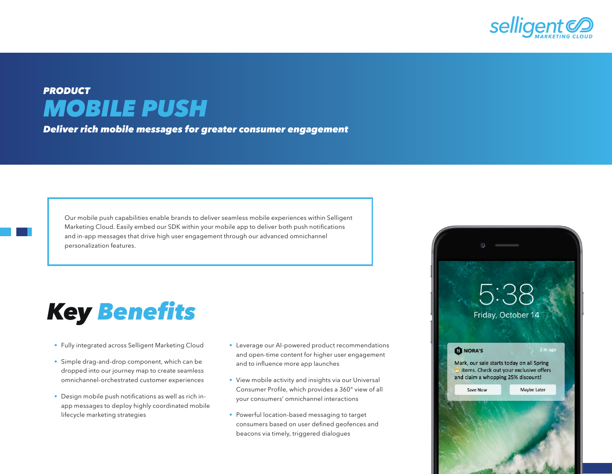

## *PRODUCT MOBILE PUSH*

*Deliver rich mobile messages for greater consumer engagement*

Our mobile push capabilities enable brands to deliver seamless mobile experiences within Selligent Marketing Cloud. Easily embed our SDK within your mobile app to deliver both push notifications and in-app messages that drive high user engagement through our advanced omnichannel personalization features.

## *Key* Benefits

- Fully integrated across Selligent Marketing Cloud
- Simple drag-and-drop component, which can be dropped into our journey map to create seamless omnichannel-orchestrated customer experiences
- Design mobile push notifications as well as rich inapp messages to deploy highly coordinated mobile lifecycle marketing strategies
- Leverage our AI-powered product recommendations and open-time content for higher user engagement and to influence more app launches
- View mobile activity and insights via our Universal Consumer Profile, which provides a 360° view of all your consumers' omnichannel interactions
- Powerful location-based messaging to target consumers based on user defined geofences and beacons via timely, triggered dialogues